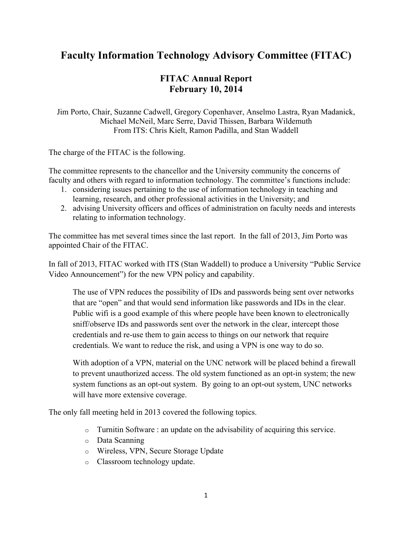## **Faculty Information Technology Advisory Committee (FITAC)**

## **FITAC Annual Report February 10, 2014**

Jim Porto, Chair, Suzanne Cadwell, Gregory Copenhaver, Anselmo Lastra, Ryan Madanick, Michael McNeil, Marc Serre, David Thissen, Barbara Wildemuth From ITS: Chris Kielt, Ramon Padilla, and Stan Waddell

The charge of the FITAC is the following.

The committee represents to the chancellor and the University community the concerns of faculty and others with regard to information technology. The committee's functions include:

- 1. considering issues pertaining to the use of information technology in teaching and learning, research, and other professional activities in the University; and
- 2. advising University officers and offices of administration on faculty needs and interests relating to information technology.

The committee has met several times since the last report. In the fall of 2013, Jim Porto was appointed Chair of the FITAC.

In fall of 2013, FITAC worked with ITS (Stan Waddell) to produce a University "Public Service Video Announcement") for the new VPN policy and capability.

The use of VPN reduces the possibility of IDs and passwords being sent over networks that are "open" and that would send information like passwords and IDs in the clear. Public wifi is a good example of this where people have been known to electronically sniff/observe IDs and passwords sent over the network in the clear, intercept those credentials and re-use them to gain access to things on our network that require credentials. We want to reduce the risk, and using a VPN is one way to do so.

With adoption of a VPN, material on the UNC network will be placed behind a firewall to prevent unauthorized access. The old system functioned as an opt-in system; the new system functions as an opt-out system. By going to an opt-out system, UNC networks will have more extensive coverage.

The only fall meeting held in 2013 covered the following topics.

- o Turnitin Software : an update on the advisability of acquiring this service.
- o Data Scanning
- o Wireless, VPN, Secure Storage Update
- o Classroom technology update.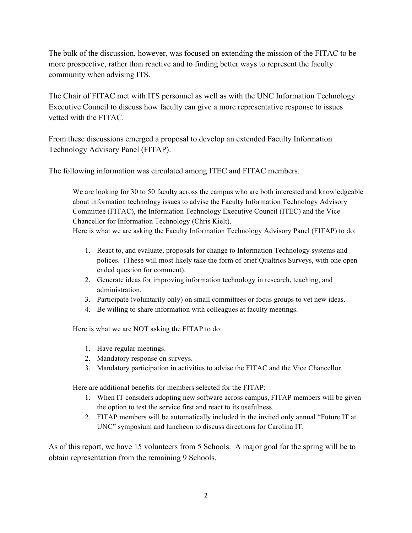The bulk of the discussion, however, was focused on extending the mission of the FITAC to be more prospective, rather than reactive and to finding better ways to represent the faculty community when advising ITS.

The Chair of FITAC met with ITS personnel as well as with the UNC Information Technology Executive Council to discuss how faculty can give a more representative response to issues vetted with the FITAC.

From these discussions emerged a proposal to develop an extended Faculty Information Technology Advisory Panel (FITAP).

The following information was circulated among ITEC and FITAC members.

We are looking for 30 to 50 faculty across the campus who are both interested and knowledgeable about information technology issues to advise the Faculty Information Technology Advisory Committee (FITAC), the Information Technology Executive Council (ITEC) and the Vice Chancellor for Information Technology (Chris Kielt).

Here is what we are asking the Faculty Information Technology Advisory Panel (FITAP) to do:

- 1. React to, and evaluate, proposals for change to Information Technology systems and polices. (These will most likely take the form of brief Qualtrics Surveys, with one open ended question for comment).
- 2. Generate ideas for improving information technology in research, teaching, and administration.
- 3. Participate (voluntarily only) on small committees or focus groups to vet new ideas.
- 4. Be willing to share information with colleagues at faculty meetings.

Here is what we are NOT asking the FITAP to do:

- 1. Have regular meetings.
- 2. Mandatory response on surveys.
- 3. Mandatory participation in activities to advise the FITAC and the Vice Chancellor.

Here are additional benefits for members selected for the FITAP:

- 1. When IT considers adopting new software across campus, FITAP members will be given the option to test the service first and react to its usefulness.
- 2. FITAP members will be automatically included in the invited only annual "Future IT at UNC" symposium and luncheon to discuss directions for Carolina IT.

As of this report, we have 15 volunteers from 5 Schools. A major goal for the spring will be to obtain representation from the remaining 9 Schools.